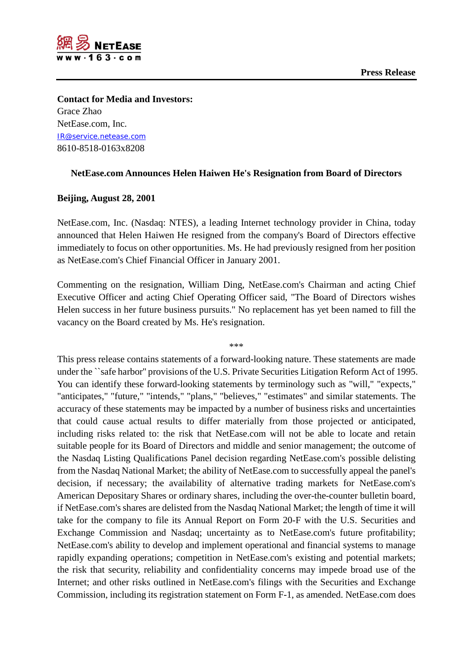

**Contact for Media and Investors:** Grace Zhao NetEase.com, Inc. [IR@service.netease.com](mailto:IR@service.netease.com) 8610-8518-0163x8208

## **NetEase.com Announces Helen Haiwen He's Resignation from Board of Directors**

## **Beijing, August 28, 2001**

NetEase.com, Inc. (Nasdaq: NTES), a leading Internet technology provider in China, today announced that Helen Haiwen He resigned from the company's Board of Directors effective immediately to focus on other opportunities. Ms. He had previously resigned from her position as NetEase.com's Chief Financial Officer in January 2001.

Commenting on the resignation, William Ding, NetEase.com's Chairman and acting Chief Executive Officer and acting Chief Operating Officer said, "The Board of Directors wishes Helen success in her future business pursuits." No replacement has yet been named to fill the vacancy on the Board created by Ms. He's resignation.

\*\*\*

This press release contains statements of a forward-looking nature. These statements are made under the ``safe harbor'' provisions of the U.S. Private Securities Litigation Reform Act of 1995. You can identify these forward-looking statements by terminology such as "will," "expects," "anticipates," "future," "intends," "plans," "believes," "estimates" and similar statements. The accuracy of these statements may be impacted by a number of business risks and uncertainties that could cause actual results to differ materially from those projected or anticipated, including risks related to: the risk that NetEase.com will not be able to locate and retain suitable people for its Board of Directors and middle and senior management; the outcome of the Nasdaq Listing Qualifications Panel decision regarding NetEase.com's possible delisting from the Nasdaq National Market; the ability of NetEase.com to successfully appeal the panel's decision, if necessary; the availability of alternative trading markets for NetEase.com's American Depositary Shares or ordinary shares, including the over-the-counter bulletin board, if NetEase.com's shares are delisted from the Nasdaq National Market; the length of time it will take for the company to file its Annual Report on Form 20-F with the U.S. Securities and Exchange Commission and Nasdaq; uncertainty as to NetEase.com's future profitability; NetEase.com's ability to develop and implement operational and financial systems to manage rapidly expanding operations; competition in NetEase.com's existing and potential markets; the risk that security, reliability and confidentiality concerns may impede broad use of the Internet; and other risks outlined in NetEase.com's filings with the Securities and Exchange Commission, including its registration statement on Form F-1, as amended. NetEase.com does